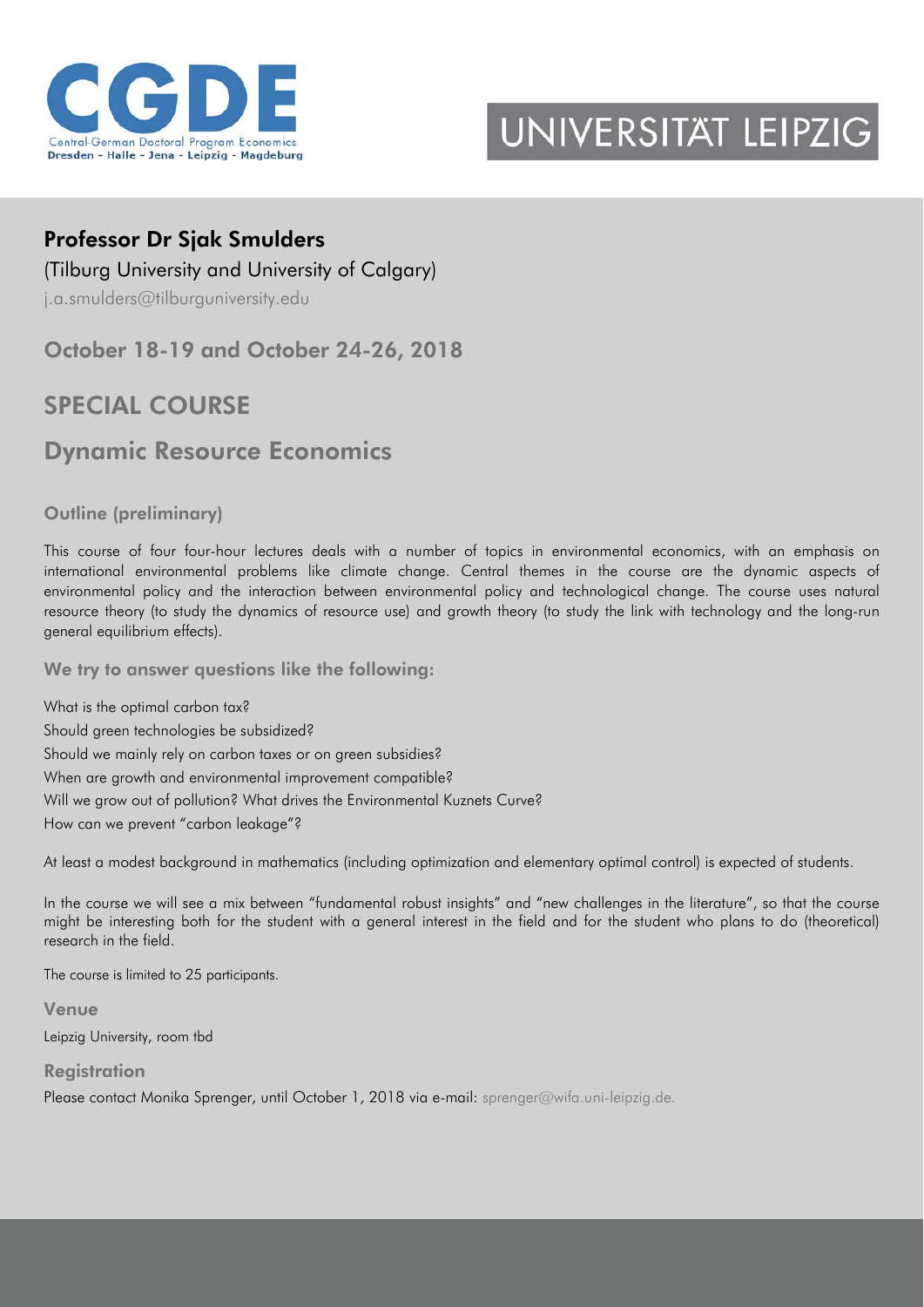

## UNIVERSITAT LEIPZIG

## Professor Dr Sjak Smulders

(Tilburg University and University of Calgary)

[j.a.smulders@tilburguniversity.edu](mailto:j.a.smulders@tilburguniversity.edu)

October 18-19 and October 24-26, 2018

## SPECIAL COURSE

## Dynamic Resource Economics

Outline (preliminary)

This course of four four-hour lectures deals with a number of topics in environmental economics, with an emphasis on international environmental problems like climate change. Central themes in the course are the dynamic aspects of environmental policy and the interaction between environmental policy and technological change. The course uses natural resource theory (to study the dynamics of resource use) and growth theory (to study the link with technology and the long-run general equilibrium effects).

We try to answer questions like the following:

What is the optimal carbon tax? Should green technologies be subsidized? Should we mainly rely on carbon taxes or on green subsidies? When are growth and environmental improvement compatible? Will we grow out of pollution? What drives the Environmental Kuznets Curve? How can we prevent "carbon leakage"?

At least a modest background in mathematics (including optimization and elementary optimal control) is expected of students.

In the course we will see a mix between "fundamental robust insights" and "new challenges in the literature", so that the course might be interesting both for the student with a general interest in the field and for the student who plans to do (theoretical) research in the field.

The course is limited to 25 participants.

Venue Leipzig University, room tbd

**Registration** 

Please contact Monika Sprenger, until October 1, 2018 via e-mail: [sprenger@wifa.uni-leipzig.de.](mailto:sprenger@wifa.uni-leipzig.de)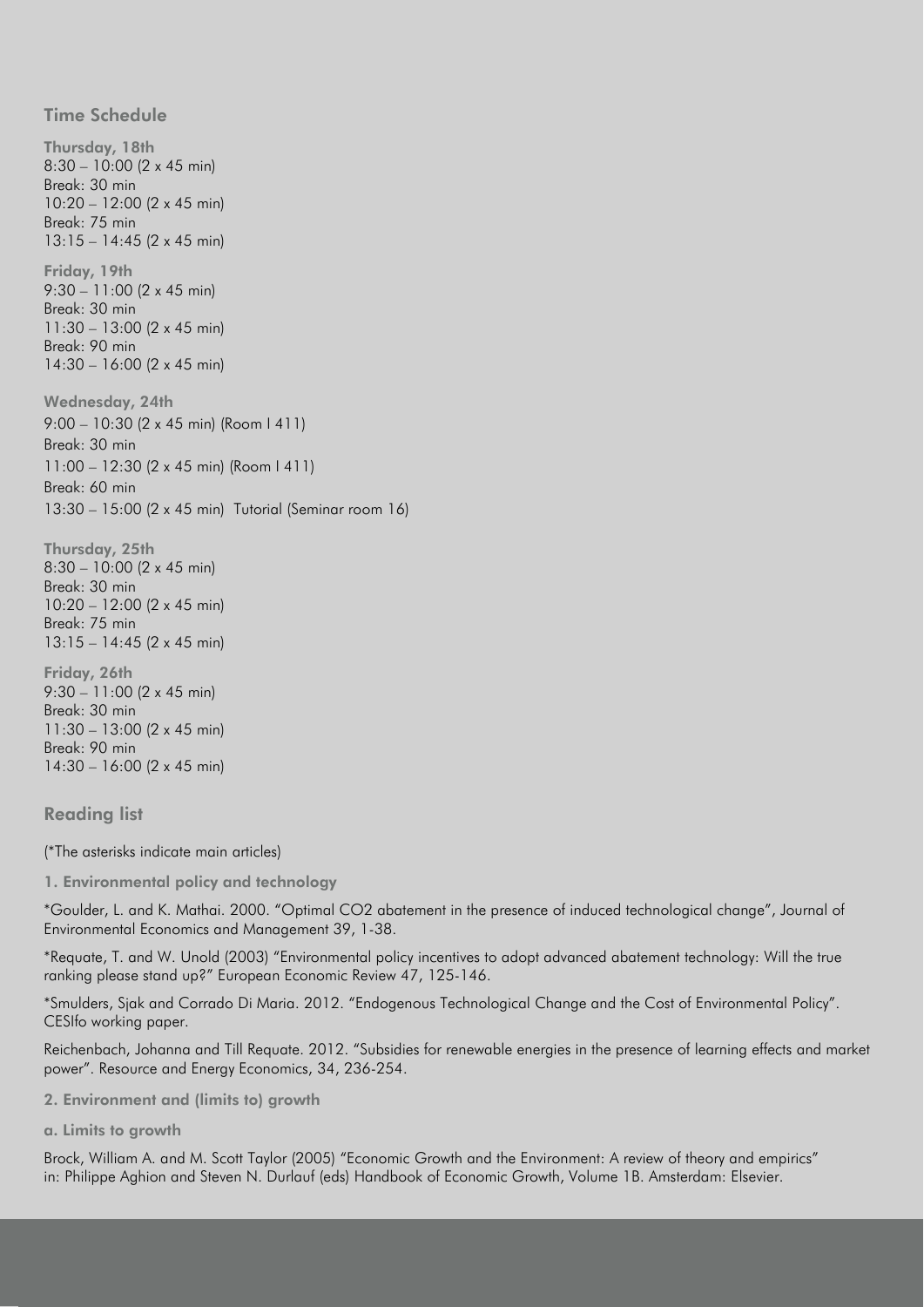Time Schedule Thursday, 18th 8:30 – 10:00 (2 x 45 min) Break: 30 min 10:20 – 12:00 (2 x 45 min) Break: 75 min 13:15 – 14:45 (2 x 45 min) Friday, 19th 9:30 – 11:00 (2 x 45 min) Break: 30 min 11:30 – 13:00 (2 x 45 min) Break: 90 min 14:30 – 16:00 (2 x 45 min) Wednesday, 24th 9:00 – 10:30 (2 x 45 min) (Room I 411) Break: 30 min 11:00 – 12:30 (2 x 45 min) (Room I 411) Break: 60 min 13:30 – 15:00 (2 x 45 min) Tutorial (Seminar room 16)

Thursday, 25th 8:30 – 10:00 (2 x 45 min) Break: 30 min 10:20 – 12:00 (2 x 45 min) Break: 75 min 13:15 – 14:45 (2 x 45 min)

Friday, 26th 9:30 – 11:00 (2 x 45 min) Break: 30 min 11:30 – 13:00 (2 x 45 min) Break: 90 min 14:30 – 16:00 (2 x 45 min)

Reading list

(\*The asterisks indicate main articles)

1. Environmental policy and technology

\*Goulder, L. and K. Mathai. 2000. "Optimal CO2 abatement in the presence of induced technological change", Journal of Environmental Economics and Management 39, 1-38.

\*Requate, T. and W. Unold (2003) "Environmental policy incentives to adopt advanced abatement technology: Will the true ranking please stand up?" European Economic Review 47, 125-146.

\*Smulders, Sjak and Corrado Di Maria. 2012. "Endogenous Technological Change and the Cost of Environmental Policy". CESIfo working paper.

Reichenbach, Johanna and Till Requate. 2012. "Subsidies for renewable energies in the presence of learning effects and market power". Resource and Energy Economics, 34, 236-254.

2. Environment and (limits to) growth

a. Limits to growth

Brock, William A. and M. Scott Taylor (2005) "Economic Growth and the Environment: A review of theory and empirics" in: Philippe Aghion and Steven N. Durlauf (eds) Handbook of Economic Growth, Volume 1B. Amsterdam: Elsevier.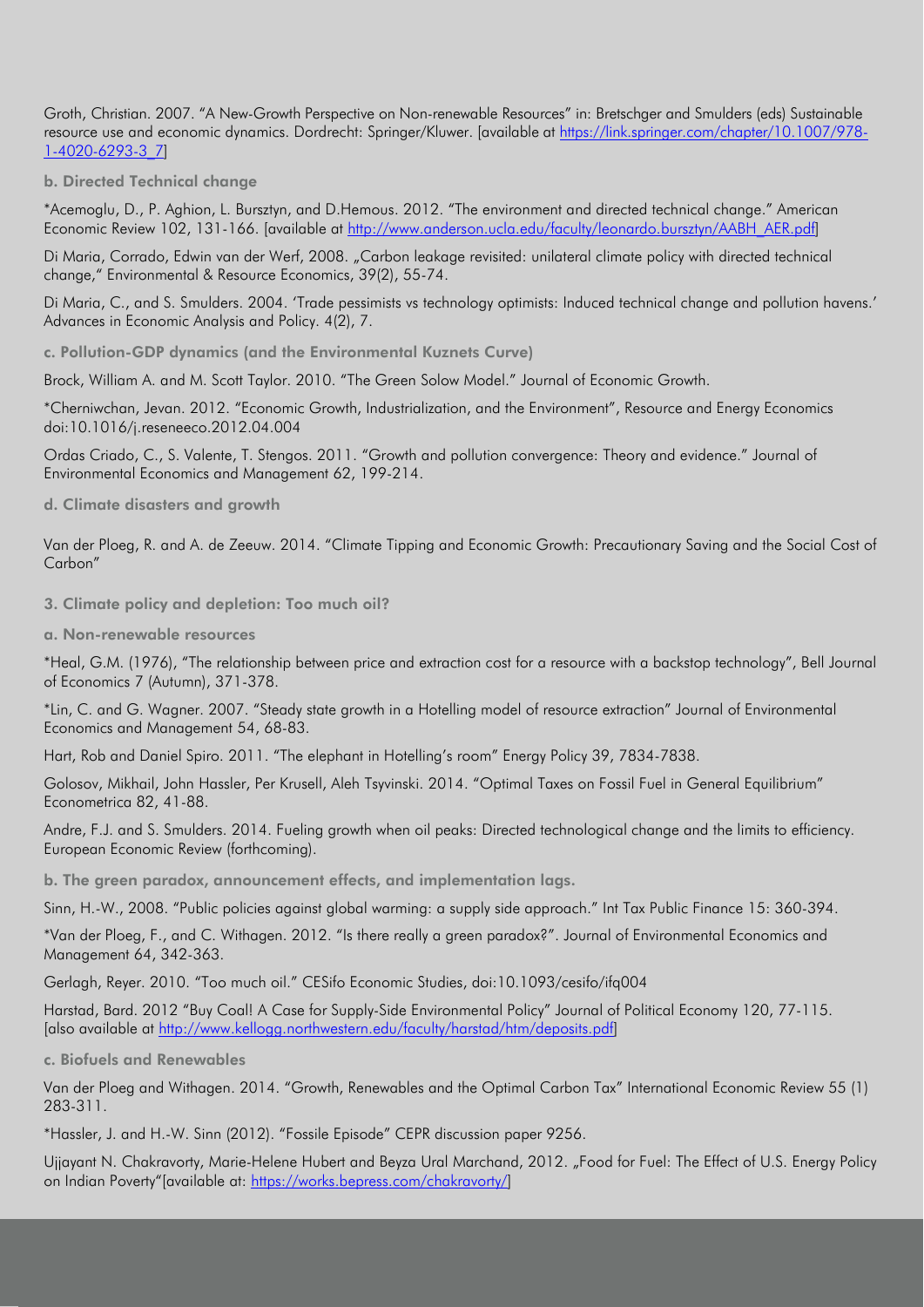Groth, Christian. 2007. "A New-Growth Perspective on Non-renewable Resources" in: Bretschger and Smulders (eds) Sustainable resource use and economic dynamics. Dordrecht: Springer/Kluwer. [available at [https://link.springer.com/chapter/10.1007/978-](https://link.springer.com/chapter/10.1007/978-1-4020-6293-3_7) [1-4020-6293-3\\_7\]](https://link.springer.com/chapter/10.1007/978-1-4020-6293-3_7)

b. Directed Technical change

\*Acemoglu, D., P. Aghion, L. Bursztyn, and D.Hemous. 2012. "The environment and directed technical change." American Economic Review 102, 131-166. [available at [http://www.anderson.ucla.edu/faculty/leonardo.bursztyn/AABH\\_AER.pdf\]](http://www.anderson.ucla.edu/faculty/leonardo.bursztyn/AABH_AER.pdf)

Di Maria, Corrado, Edwin van der Werf, 2008. "Carbon leakage revisited: unilateral climate policy with directed technical change," Environmental & Resource Economics, 39(2), 55-74.

Di Maria, C., and S. Smulders. 2004. 'Trade pessimists vs technology optimists: Induced technical change and pollution havens.' Advances in Economic Analysis and Policy. 4(2), 7.

c. Pollution-GDP dynamics (and the Environmental Kuznets Curve)

Brock, William A. and M. Scott Taylor. 2010. "The Green Solow Model." Journal of Economic Growth.

\*Cherniwchan, Jevan. 2012. "Economic Growth, Industrialization, and the Environment", Resource and Energy Economics doi:10.1016/j.reseneeco.2012.04.004

Ordas Criado, C., S. Valente, T. Stengos. 2011. "Growth and pollution convergence: Theory and evidence." Journal of Environmental Economics and Management 62, 199-214.

d. Climate disasters and growth

Van der Ploeg, R. and A. de Zeeuw. 2014. "Climate Tipping and Economic Growth: Precautionary Saving and the Social Cost of Carbon"

3. Climate policy and depletion: Too much oil?

a. Non-renewable resources

\*Heal, G.M. (1976), "The relationship between price and extraction cost for a resource with a backstop technology", Bell Journal of Economics 7 (Autumn), 371-378.

\*Lin, C. and G. Wagner. 2007. "Steady state growth in a Hotelling model of resource extraction" Journal of Environmental Economics and Management 54, 68-83.

Hart, Rob and Daniel Spiro. 2011. "The elephant in Hotelling's room" Energy Policy 39, 7834-7838.

Golosov, Mikhail, John Hassler, Per Krusell, Aleh Tsyvinski. 2014. "Optimal Taxes on Fossil Fuel in General Equilibrium" Econometrica 82, 41-88.

Andre, F.J. and S. Smulders. 2014. Fueling growth when oil peaks: Directed technological change and the limits to efficiency. European Economic Review (forthcoming).

b. The green paradox, announcement effects, and implementation lags.

Sinn, H.-W., 2008. "Public policies against global warming: a supply side approach." Int Tax Public Finance 15: 360-394.

\*Van der Ploeg, F., and C. Withagen. 2012. "Is there really a green paradox?". Journal of Environmental Economics and Management 64, 342-363.

Gerlagh, Reyer. 2010. "Too much oil." CESifo Economic Studies, doi:10.1093/cesifo/ifq004

Harstad, Bard. 2012 "Buy Coal! A Case for Supply-Side Environmental Policy" Journal of Political Economy 120, 77-115. [also available at [http://www.kellogg.northwestern.edu/faculty/harstad/htm/deposits.pdf\]](http://www.kellogg.northwestern.edu/faculty/harstad/htm/deposits.pdf)

c. Biofuels and Renewables

Van der Ploeg and Withagen. 2014. "Growth, Renewables and the Optimal Carbon Tax" International Economic Review 55 (1) 283-311.

\*Hassler, J. and H.-W. Sinn (2012). "Fossile Episode" CEPR discussion paper 9256.

Ujjayant N. Chakravorty, Marie-Helene Hubert and Beyza Ural Marchand, 2012. "Food for Fuel: The Effect of U.S. Energy Policy on Indian Poverty"[available at: [https://works.bepress.com/chakravorty/\]](https://works.bepress.com/chakravorty/)